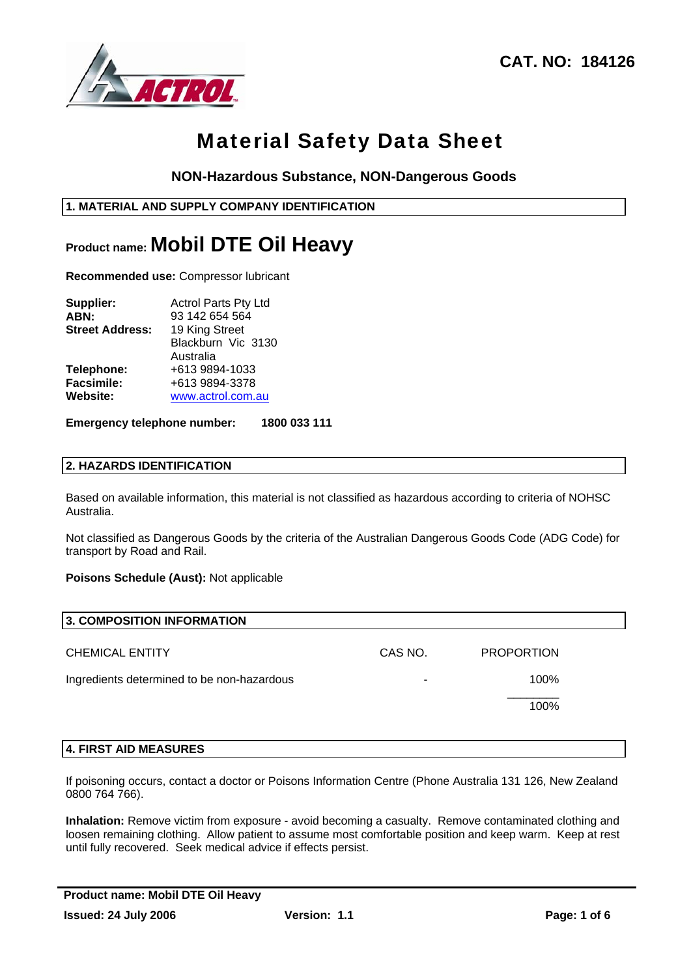

## **NON-Hazardous Substance, NON-Dangerous Goods**

## **1. MATERIAL AND SUPPLY COMPANY IDENTIFICATION**

## **Product name: Mobil DTE Oil Heavy**

**Recommended use:** Compressor lubricant

| Supplier:              | <b>Actrol Parts Pty Ltd</b> |  |  |  |  |
|------------------------|-----------------------------|--|--|--|--|
| ABN:                   | 93 142 654 564              |  |  |  |  |
| <b>Street Address:</b> | 19 King Street              |  |  |  |  |
|                        | Blackburn Vic 3130          |  |  |  |  |
|                        | Australia                   |  |  |  |  |
| Telephone:             | +613 9894-1033              |  |  |  |  |
| <b>Facsimile:</b>      | +613 9894-3378              |  |  |  |  |
| Website:               | www.actrol.com.au           |  |  |  |  |

#### **Emergency telephone number: 1800 033 111**

### **2. HAZARDS IDENTIFICATION**

Based on available information, this material is not classified as hazardous according to criteria of NOHSC Australia.

Not classified as Dangerous Goods by the criteria of the Australian Dangerous Goods Code (ADG Code) for transport by Road and Rail.

**Poisons Schedule (Aust):** Not applicable

| 3. COMPOSITION INFORMATION                 |         |                   |  |
|--------------------------------------------|---------|-------------------|--|
| <b>CHEMICAL ENTITY</b>                     | CAS NO. | <b>PROPORTION</b> |  |
| Ingredients determined to be non-hazardous | -       | 100%              |  |
|                                            |         | 100%              |  |
|                                            |         |                   |  |

#### **4. FIRST AID MEASURES**

If poisoning occurs, contact a doctor or Poisons Information Centre (Phone Australia 131 126, New Zealand 0800 764 766).

**Inhalation:** Remove victim from exposure - avoid becoming a casualty. Remove contaminated clothing and loosen remaining clothing. Allow patient to assume most comfortable position and keep warm. Keep at rest until fully recovered. Seek medical advice if effects persist.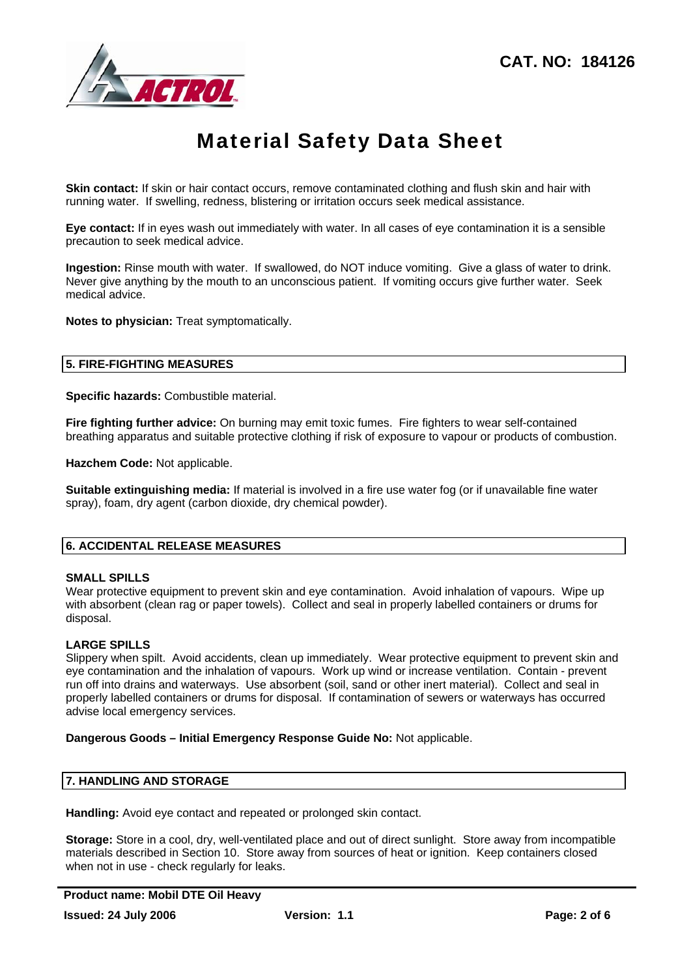

**Skin contact:** If skin or hair contact occurs, remove contaminated clothing and flush skin and hair with running water. If swelling, redness, blistering or irritation occurs seek medical assistance.

**Eye contact:** If in eyes wash out immediately with water. In all cases of eye contamination it is a sensible precaution to seek medical advice.

**Ingestion:** Rinse mouth with water. If swallowed, do NOT induce vomiting. Give a glass of water to drink. Never give anything by the mouth to an unconscious patient. If vomiting occurs give further water. Seek medical advice.

**Notes to physician:** Treat symptomatically.

### **5. FIRE-FIGHTING MEASURES**

**Specific hazards:** Combustible material.

**Fire fighting further advice:** On burning may emit toxic fumes. Fire fighters to wear self-contained breathing apparatus and suitable protective clothing if risk of exposure to vapour or products of combustion.

**Hazchem Code:** Not applicable.

**Suitable extinguishing media:** If material is involved in a fire use water fog (or if unavailable fine water spray), foam, dry agent (carbon dioxide, dry chemical powder).

## **6. ACCIDENTAL RELEASE MEASURES**

#### **SMALL SPILLS**

Wear protective equipment to prevent skin and eye contamination. Avoid inhalation of vapours. Wipe up with absorbent (clean rag or paper towels). Collect and seal in properly labelled containers or drums for disposal.

## **LARGE SPILLS**

Slippery when spilt. Avoid accidents, clean up immediately. Wear protective equipment to prevent skin and eye contamination and the inhalation of vapours. Work up wind or increase ventilation. Contain - prevent run off into drains and waterways. Use absorbent (soil, sand or other inert material). Collect and seal in properly labelled containers or drums for disposal. If contamination of sewers or waterways has occurred advise local emergency services.

**Dangerous Goods – Initial Emergency Response Guide No:** Not applicable.

## **7. HANDLING AND STORAGE**

**Handling:** Avoid eye contact and repeated or prolonged skin contact.

**Storage:** Store in a cool, dry, well-ventilated place and out of direct sunlight. Store away from incompatible materials described in Section 10. Store away from sources of heat or ignition. Keep containers closed when not in use - check regularly for leaks.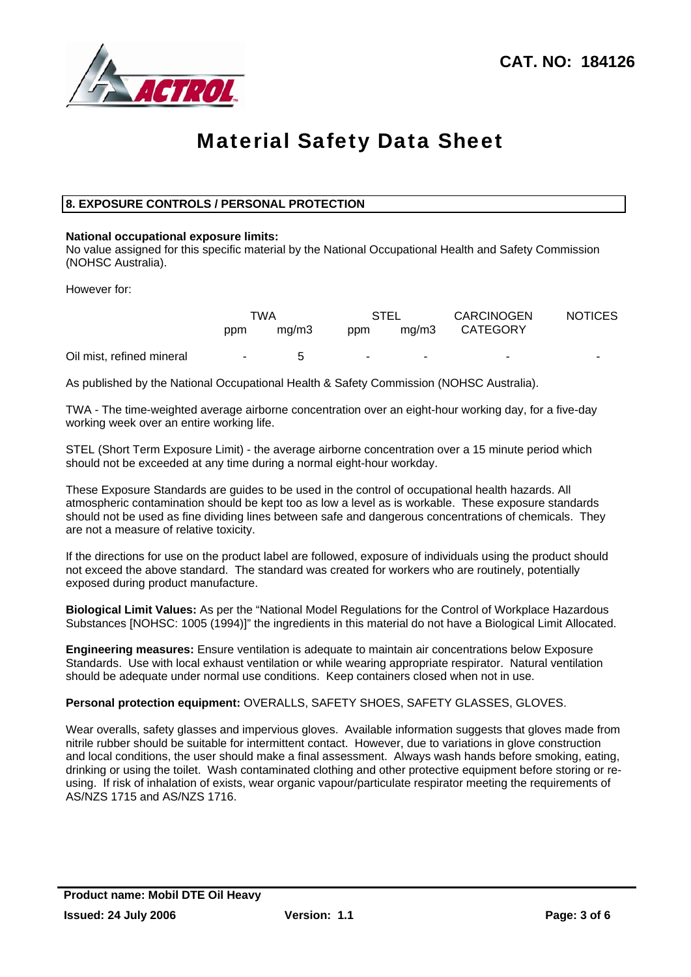

## **8. EXPOSURE CONTROLS / PERSONAL PROTECTION**

#### **National occupational exposure limits:**

No value assigned for this specific material by the National Occupational Health and Safety Commission (NOHSC Australia).

However for:

|                           | TWA    |       | <b>STEL</b>    |       | <b>CARCINOGEN</b> | <b>NOTICES</b> |
|---------------------------|--------|-------|----------------|-------|-------------------|----------------|
|                           | ppm    | ma/m3 | ppm            | ma/m3 | <b>CATEGORY</b>   |                |
| Oil mist, refined mineral | $\sim$ | 5     | $\blacksquare$ |       |                   | -              |

As published by the National Occupational Health & Safety Commission (NOHSC Australia).

TWA - The time-weighted average airborne concentration over an eight-hour working day, for a five-day working week over an entire working life.

STEL (Short Term Exposure Limit) - the average airborne concentration over a 15 minute period which should not be exceeded at any time during a normal eight-hour workday.

These Exposure Standards are guides to be used in the control of occupational health hazards. All atmospheric contamination should be kept too as low a level as is workable. These exposure standards should not be used as fine dividing lines between safe and dangerous concentrations of chemicals. They are not a measure of relative toxicity.

If the directions for use on the product label are followed, exposure of individuals using the product should not exceed the above standard. The standard was created for workers who are routinely, potentially exposed during product manufacture.

**Biological Limit Values:** As per the "National Model Regulations for the Control of Workplace Hazardous Substances [NOHSC: 1005 (1994)]" the ingredients in this material do not have a Biological Limit Allocated.

**Engineering measures:** Ensure ventilation is adequate to maintain air concentrations below Exposure Standards. Use with local exhaust ventilation or while wearing appropriate respirator. Natural ventilation should be adequate under normal use conditions. Keep containers closed when not in use.

#### **Personal protection equipment:** OVERALLS, SAFETY SHOES, SAFETY GLASSES, GLOVES.

Wear overalls, safety glasses and impervious gloves. Available information suggests that gloves made from nitrile rubber should be suitable for intermittent contact. However, due to variations in glove construction and local conditions, the user should make a final assessment. Always wash hands before smoking, eating, drinking or using the toilet. Wash contaminated clothing and other protective equipment before storing or reusing. If risk of inhalation of exists, wear organic vapour/particulate respirator meeting the requirements of AS/NZS 1715 and AS/NZS 1716.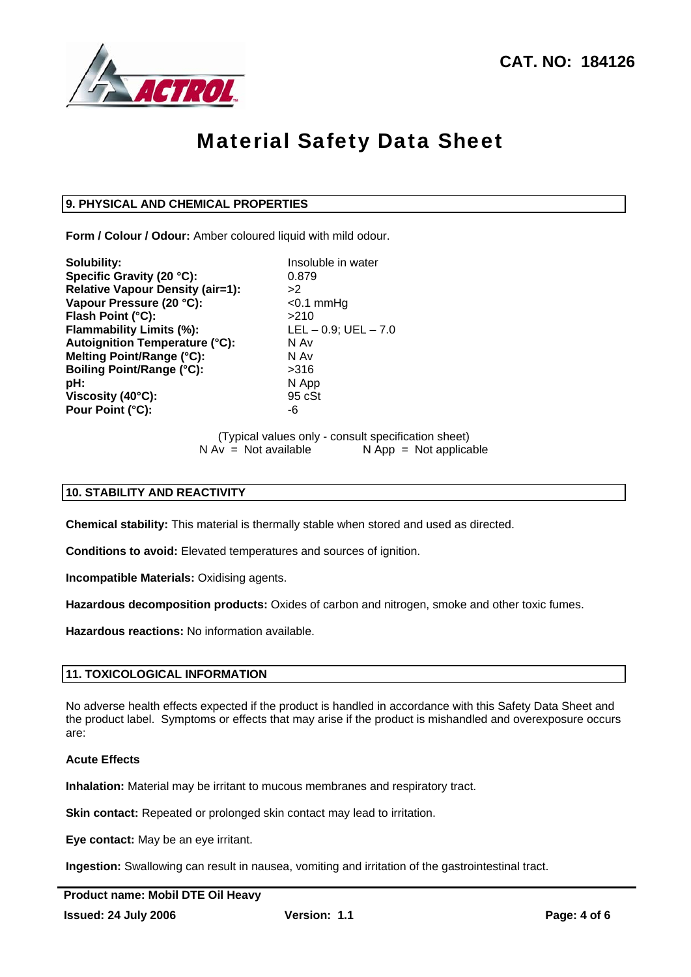

## **9. PHYSICAL AND CHEMICAL PROPERTIES**

**Form / Colour / Odour:** Amber coloured liquid with mild odour.

**Solubility:** Insoluble in water **Specific Gravity (20 °C):** 0.879 **Relative Vapour Density (air=1):** >2 **Vapour Pressure (20 °C):** <0.1 mmHg **Flash Point (°C):** >210 **Flammability Limits (%):** LEL – 0.9; UEL – 7.0<br>**Autoianition Temperature (°C):** N Av **Autoignition Temperature (°C): Melting Point/Range (°C):** N Av **Boiling Point/Range (°C):**  $>316$ **pH:** N App **Viscosity (40°C):** 95 cSt **Pour Point (°C):** Fig. 4.6 and  $\overline{a}$  -6

## (Typical values only - consult specification sheet)  $N Av = Not available$   $N App = Not applicable$

## **10. STABILITY AND REACTIVITY**

**Chemical stability:** This material is thermally stable when stored and used as directed.

**Conditions to avoid:** Elevated temperatures and sources of ignition.

**Incompatible Materials:** Oxidising agents.

**Hazardous decomposition products:** Oxides of carbon and nitrogen, smoke and other toxic fumes.

**Hazardous reactions:** No information available.

#### **11. TOXICOLOGICAL INFORMATION**

No adverse health effects expected if the product is handled in accordance with this Safety Data Sheet and the product label. Symptoms or effects that may arise if the product is mishandled and overexposure occurs are:

## **Acute Effects**

**Inhalation:** Material may be irritant to mucous membranes and respiratory tract.

**Skin contact:** Repeated or prolonged skin contact may lead to irritation.

**Eye contact:** May be an eye irritant.

**Ingestion:** Swallowing can result in nausea, vomiting and irritation of the gastrointestinal tract.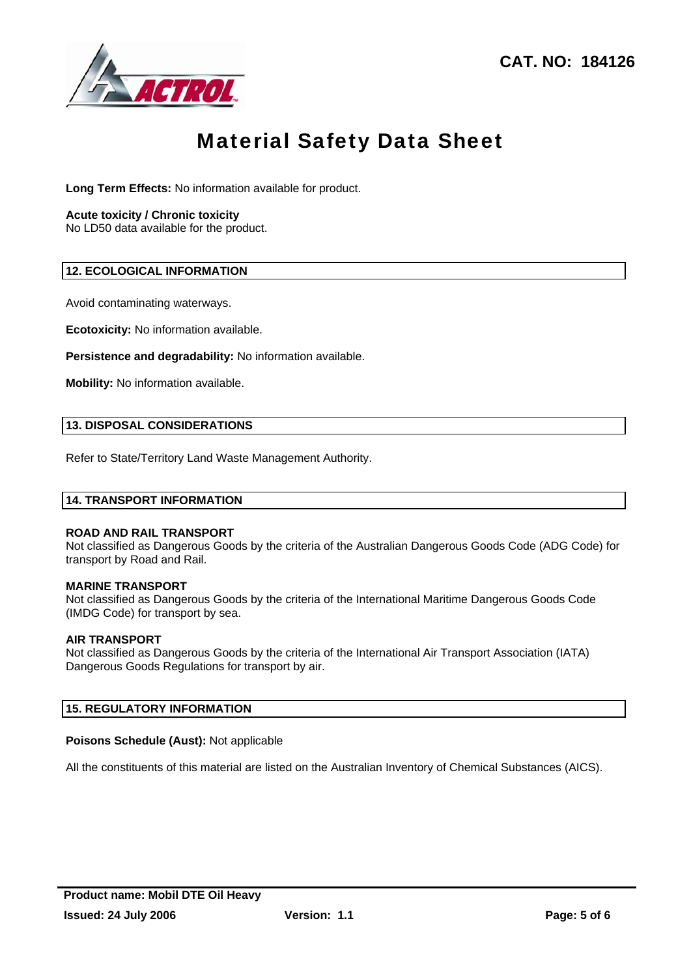

**Long Term Effects:** No information available for product.

#### **Acute toxicity / Chronic toxicity**

No LD50 data available for the product.

### **12. ECOLOGICAL INFORMATION**

Avoid contaminating waterways.

**Ecotoxicity:** No information available.

**Persistence and degradability:** No information available.

**Mobility:** No information available.

### **13. DISPOSAL CONSIDERATIONS**

Refer to State/Territory Land Waste Management Authority.

#### **14. TRANSPORT INFORMATION**

#### **ROAD AND RAIL TRANSPORT**

Not classified as Dangerous Goods by the criteria of the Australian Dangerous Goods Code (ADG Code) for transport by Road and Rail.

#### **MARINE TRANSPORT**

Not classified as Dangerous Goods by the criteria of the International Maritime Dangerous Goods Code (IMDG Code) for transport by sea.

#### **AIR TRANSPORT**

Not classified as Dangerous Goods by the criteria of the International Air Transport Association (IATA) Dangerous Goods Regulations for transport by air.

### **15. REGULATORY INFORMATION**

#### **Poisons Schedule (Aust):** Not applicable

All the constituents of this material are listed on the Australian Inventory of Chemical Substances (AICS).